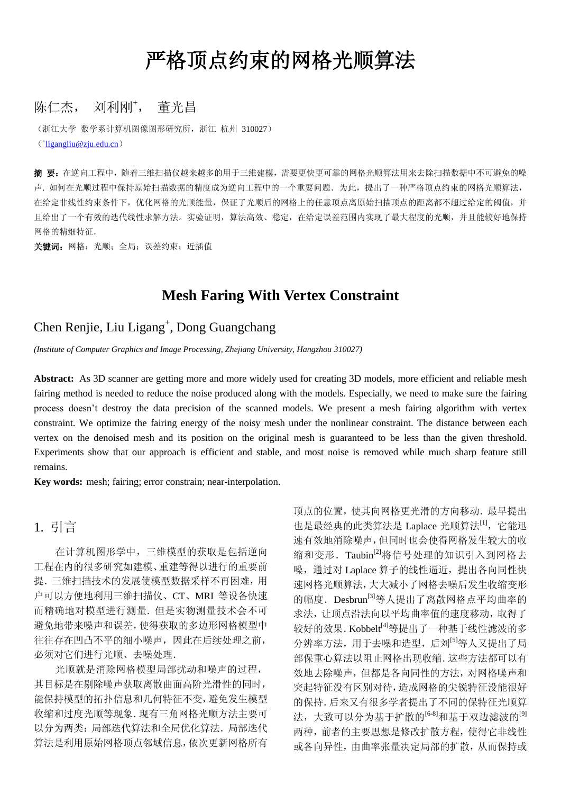# 严格顶点约束的网格光顺算法

### 陈仁杰, 刘利刚+, 董光昌

(浙江大学 数学系计算机图像图形研究所,浙江 杭州 310027) (<sup>+</sup> [ligangliu@zju.edu.cn](mailto:ligangliu@zju.edu.cn))

摘 要:在逆向工程中,随着三维扫描仪越来越多的用于三维建模,需要更快更可靠的网格光顺算法用来去除扫描数据中不可避免的噪 声. 如何在光顺过程中保持原始扫描数据的精度成为逆向工程中的一个重要问题.为此,提出了一种严格顶点约束的网格光顺算法, 在给定非线性约束条件下,优化网格的光顺能量,保证了光顺后的网格上的任意顶点离原始扫描顶点的距离都不超过给定的阈值,并 且给出了一个有效的迭代线性求解方法。实验证明,算法高效、稳定,在给定误差范围内实现了最大程度的光顺,并且能较好地保持 网格的精细特征.

关键词: 网格; 光顺; 全局; 误差约束; 近插值

## **Mesh Faring With Vertex Constraint**

## Chen Renjie, Liu Ligang<sup>+</sup>, Dong Guangchang

*(Institute of Computer Graphics and Image Processing, Zhejiang University, Hangzhou 310027)*

**Abstract:** As 3D scanner are getting more and more widely used for creating 3D models, more efficient and reliable mesh fairing method is needed to reduce the noise produced along with the models. Especially, we need to make sure the fairing process doesn't destroy the data precision of the scanned models. We present a mesh fairing algorithm with vertex constraint. We optimize the fairing energy of the noisy mesh under the nonlinear constraint. The distance between each vertex on the denoised mesh and its position on the original mesh is guaranteed to be less than the given threshold. Experiments show that our approach is efficient and stable, and most noise is removed while much sharp feature still remains.

**Key words:** mesh; fairing; error constrain; near-interpolation.

#### 1. 引言

在计算机图形学中,三维模型的获取是包括逆向 工程在内的很多研究如建模、重建等得以进行的重要前 提. 三维扫描技术的发展使模型数据采样不再困难,用 户可以方便地利用三维扫描仪、CT、MRI 等设备快速 而精确地对模型进行测量. 但是实物测量技术会不可 避免地带来噪声和误差,使得获取的多边形网格模型中 往往存在凹凸不平的细小噪声,因此在后续处理之前, 必须对它们进行光顺、去噪处理.

光顺就是消除网格模型局部扰动和噪声的过程, 其目标是在剔除噪声获取离散曲面高阶光滑性的同时, 能保持模型的拓扑信息和几何特征不变,避免发生模型 收缩和过度光顺等现象.现有三角网格光顺方法主要可 以分为两类:局部迭代算法和全局优化算法.局部迭代 算法是利用原始网格顶点邻域信息,依次更新网格所有 顶点的位置,使其向网格更光滑的方向移动.最早提出 也是最经典的此类算法是 Laplace 光顺算法[1], 它能迅 速有效地消除噪声,但同时也会使得网格发生较大的收 缩和变形. Taubin[2]将信号处理的知识引入到网格去 噪,通过对 Laplace 算子的线性逼近,提出各向同性快 速网格光顺算法,大大减小了网格去噪后发生收缩变形 的幅度. Desbrun<sup>[3]</sup>等人提出了离散网格点平均曲率的 求法,让顶点沿法向以平均曲率值的速度移动,取得了 较好的效果. Kobbelt<sup>[4]</sup>等提出了一种基于线性滤波的多 分辨率方法,用于去噪和造型,后刘[5]等人又提出了局 部保重心算法以阻止网格出现收缩.这些方法都可以有 效地去除噪声,但都是各向同性的方法,对网格噪声和 突起特征没有区别对待,造成网格的尖锐特征没能很好 的保持.后来又有很多学者提出了不同的保特征光顺算 法,大致可以分为基于扩散的<sup>[6-8]</sup>和基于双边滤波的<sup>[9]</sup> 两种,前者的主要思想是修改扩散方程,使得它非线性 或各向异性,由曲率张量决定局部的扩散,从而保持或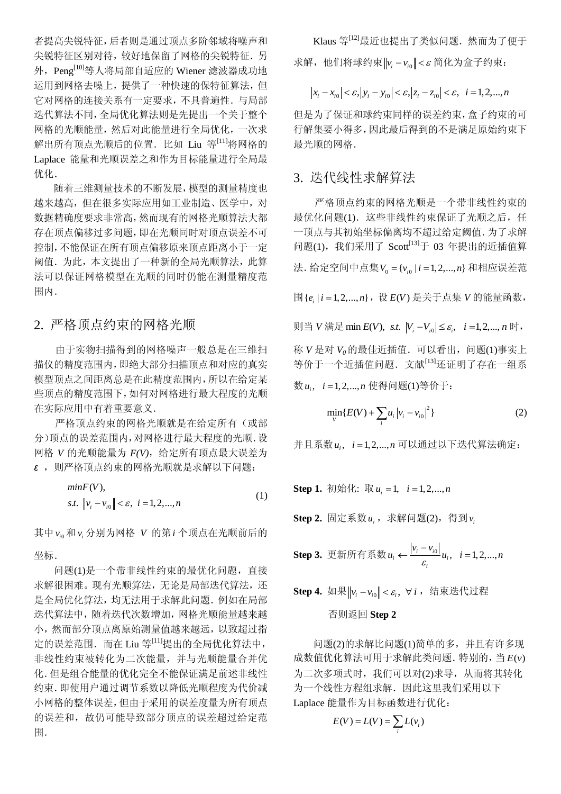者提高尖锐特征,后者则是通过顶点多阶邻域将噪声和 尖锐特征区别对待,较好地保留了网格的尖锐特征.另 外, Peng<sup>[10]</sup>等人将局部自适应的 Wiener 滤波器成功地 运用到网格去噪上,提供了一种快速的保特征算法,但 它对网格的连接关系有一定要求,不具普遍性.与局部 迭代算法不同,全局优化算法则是先提出一个关于整个 网格的光顺能量,然后对此能量进行全局优化,一次求 解出所有顶点光顺后的位置. 比如 Liu 等[11]将网格的 Laplace 能量和光顺误差之和作为目标能量进行全局最 优化.

随着三维测量技术的不断发展,模型的测量精度也 越来越高,但在很多实际应用如工业制造、医学中,对 数据精确度要求非常高,然而现有的网格光顺算法大都 存在顶点偏移过多问题,即在光顺同时对顶点误差不可 控制,不能保证在所有顶点偏移原来顶点距离小于一定 阈值.为此,本文提出了一种新的全局光顺算法,此算 法可以保证网格模型在光顺的同时仍能在测量精度范 围内.

#### 2. 严格顶点约束的网格光顺

由于实物扫描得到的网格噪声一般总是在三维扫 描仪的精度范围内,即绝大部分扫描顶点和对应的真实 模型顶点之间距离总是在此精度范围内,所以在给定某 些顶点的精度范围下,如何对网格进行最大程度的光顺 在实际应用中有着重要意义.

严格顶点约束的网格光顺就是在给定所有(或部 分)顶点的误差范围内,对网格进行最大程度的光顺.设 网格 *V* 的光顺能量为 *F(V)*,给定所有顶点最大误差为 *ε* ,则严格顶点约束的网格光顺就是求解以下问题:

$$
minF(V), s.t.  $\|v_i - v_{i0}\| < \varepsilon, \ i = 1, 2, ..., n$  (1)
$$

其中 $v_{i0}$ 和 $v_{i}$ 分别为网格 *V* 的第*i* 个顶点在光顺前后的 坐标.

问题(1)是一个带非线性约束的最优化问题,直接 求解很困难。现有光顺算法,无论是局部迭代算法,还 是全局优化算法,均无法用于求解此问题.例如在局部 迭代算法中,随着迭代次数增加,网格光顺能量越来越 小,然而部分顶点离原始测量值越来越远,以致超过指 定的误差范围. 而在 Liu 等<sup>[11]</sup>提出的全局优化算法中, 非线性约束被转化为二次能量,并与光顺能量合并优 化.但是组合能量的优化完全不能保证满足前述非线性 约束.即使用户通过调节系数以降低光顺程度为代价减 小网格的整体误差,但由于采用的误差度量为所有顶点 的误差和,故仍可能导致部分顶点的误差超过给定范 围.

Klaus 等<sup>[12]</sup>最近也提出了类似问题. 然而为了便于 求解,他们将球约束∥*v<sub>i</sub>−v<sub>i0</sub>∥<ε* 简化为盒子约束:

$$
|x_i - x_{i0}| < \varepsilon
$$
,  $|y_i - y_{i0}| < \varepsilon$ ,  $|z_i - z_{i0}| < \varepsilon$ ,  $i = 1, 2, ..., n$ 

但是为了保证和球约束同样的误差约束,盒子约束的可 行解集要小得多,因此最后得到的不是满足原始约束下 最光顺的网格.

#### 3. 迭代线性求解算法

严格顶点约束的网格光顺是一个带非线性约束的 最优化问题(1). 这些非线性约束保证了光顺之后, 任 一顶点与其初始坐标偏离均不超过给定阈值.为了求解 问题(1), 我们采用了  $Scott^{[13]}$ 于 03 年提出的近插值算 法. 给定空间中点集 $V_0 = \{ v_{i0} \mid i = 1, 2, ..., n \}$  和相应误差范

围{ $e_i$ |i=1,2,...,n}, 设E(V)是关于点集 *V* 的能量函数,

则当 *V* 满足 min  $E(V)$ , s.t.  $|V_i - V_{i0}| \le \varepsilon_i$ ,  $i = 1, 2, ..., n$  时,

称 *V* 是对 *V0*的最佳近插值.可以看出,问题(1)事实上 等价于一个近插值问题.文献[13]还证明了存在一组系 数 , 1,2,..., *<sup>i</sup> u i n* 使得问题(1)等价于:

$$
\min_{V} \{ E(V) + \sum_{i} u_{i} |v_{i} - v_{i0}|^{2} \}
$$
 (2)

并且系数  $u_i$ , *i* = 1,2, ..., n 可以通过以下迭代算法确定:

**Step 1.** 初始化: 取  $u_i = 1$ ,  $i = 1, 2, ..., n$ 

 $\textbf{Step 2.}$  固定系数 $\textit{u}_{i}$ , 求解问题(2), 得到 $\textit{v}_{i}$ 

**Step 3.** 
$$
\overline{\text{H}} \times \overline{\text{H}} \times \overline{\text{H}} \times \overline{\text{H}} \times \frac{|v_i - v_{i0}|}{\varepsilon_i} u_i, \quad i = 1, 2, ..., n
$$

 $\textbf{Step 4.} \ \ \text{in} \ \mathbb{R} \left\| \nu_i - \nu_{i0} \right\| < \varepsilon_i, \ \ \forall \ i \ , \ \ \text{in} \ \ \text{in} \ \ \text{in} \ \mathbb{R}$ 

#### 否则返回 **Step 2**

问题(2)的求解比问题(1)简单的多,并且有许多现 成数值优化算法可用于求解此类问题. 特别的, 当  $E(v)$ 为二次多项式时,我们可以对(2)求导,从而将其转化 为一个线性方程组求解.因此这里我们采用以下 Laplace 能量作为目标函数进行优化:

$$
E(V) = L(V) = \sum_{i} L(v_i)
$$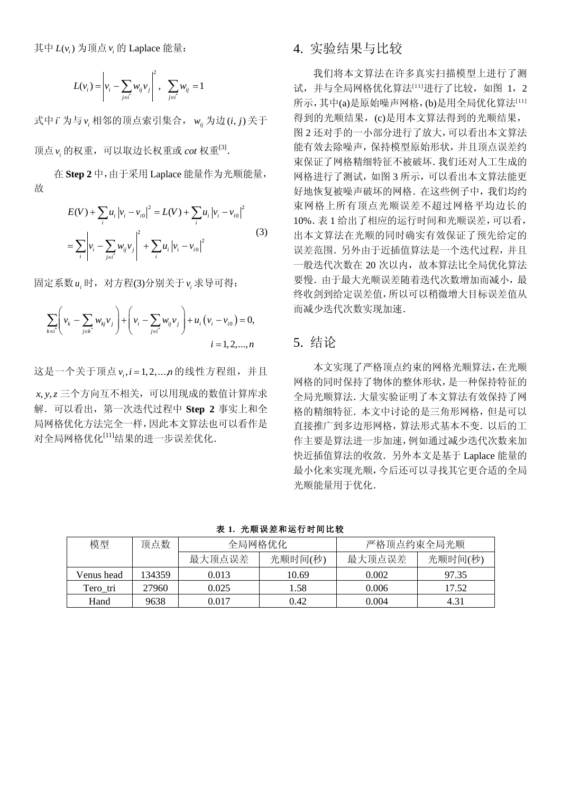其中  $L(\nu_i)$  为顶点 $\nu_i$  的 Laplace 能量:

$$
L(v_i) = \left| v_i - \sum_{j \in i^*} w_{ij} v_j \right|^2, \quad \sum_{j \in i^*} w_{ij} = 1
$$

式中 \* *i* 为与 *i v* 相邻的顶点索引集合, *wij* 为边 ( , ) *i j* 关于

顶点 ν<sub>i</sub> 的权重, 可以取边长权重或 *cot* 权重<sup>[3]</sup>.

在 **Step 2** 中,由于采用 Laplace 能量作为光顺能量, 故

$$
E(V) + \sum_{i} u_{i} |v_{i} - v_{i0}|^{2} = L(V) + \sum_{i} u_{i} |v_{i} - v_{i0}|^{2}
$$
  
= 
$$
\sum_{i} \left| v_{i} - \sum_{j \in i^{*}} w_{ij} v_{j} \right|^{2} + \sum_{i} u_{i} |v_{i} - v_{i0}|^{2}
$$
 (3)

固定系数 *i u* 时,对方程(3)分别关于 *i v* 求导可得:

$$
\sum_{k \in i'} \left( v_k - \sum_{j \in k^*} w_{kj} v_j \right) + \left( v_i - \sum_{j \in i'} w_{ij} v_j \right) + u_i \left( v_i - v_{i0} \right) = 0,
$$
  
 $i = 1, 2, ..., n$ 

这是一个关于顶点 v<sub>i</sub>, i = 1, 2,.... η 的线性方程组,并且 *x*, *y, z* 三个方向互不相关,可以用现成的数值计算库求 解.可以看出,第一次迭代过程中 **Step 2** 事实上和全 局网格优化方法完全一样,因此本文算法也可以看作是 对全局网格优化[11]结果的进一步误差优化.

#### 4. 实验结果与比较

我们将本文算法在许多真实扫描模型上进行了测 试,并与全局网格优化算法[11]进行了比较,如图 1, 2 所示,其中(a)是原始噪声网格,(b)是用全局优化算法[11] 得到的光顺结果,(c)是用本文算法得到的光顺结果, 图 2 还对手的一小部分进行了放大,可以看出本文算法 能有效去除噪声,保持模型原始形状,并且顶点误差约 束保证了网格精细特征不被破坏.我们还对人工生成的 网格进行了测试,如图 3 所示,可以看出本文算法能更 好地恢复被噪声破坏的网格.在这些例子中,我们均约 束网格上所有顶点光顺误差不超过网格平均边长的 10%.表 1 给出了相应的运行时间和光顺误差,可以看, 出本文算法在光顺的同时确实有效保证了预先给定的 误差范围.另外由于近插值算法是一个迭代过程,并且 一般迭代次数在 20 次以内,故本算法比全局优化算法 要慢.由于最大光顺误差随着迭代次数增加而减小,最 终收剑到给定误差值,所以可以稍微增大目标误差值从 而减少迭代次数实现加速.

### 5. 结论

 本文实现了严格顶点约束的网格光顺算法,在光顺 网格的同时保持了物体的整体形状,是一种保持特征的 全局光顺算法.大量实验证明了本文算法有效保持了网 格的精细特征.本文中讨论的是三角形网格,但是可以 直接推广到多边形网格,算法形式基本不变.以后的工 作主要是算法进一步加速,例如通过减少迭代次数来加 快近插值算法的收敛.另外本文是基于 Laplace 能量的 最小化来实现光顺,今后还可以寻找其它更合适的全局 光顺能量用于优化.

| 模型         | 顶点数    | 全局网格优化 |         | 严格顶点约束全局光顺 |         |
|------------|--------|--------|---------|------------|---------|
|            |        | 最大顶点误差 | 光顺时间(秒) | 最大顶点误差     | 光顺时间(秒) |
| Venus head | 134359 | 0.013  | 10.69   | 0.002      | 97.35   |
| Tero tri   | 27960  | 0.025  | 1.58    | 0.006      | 17.52   |
| Hand       | 9638   | 0.017  | 0.42    | 0.004      | 4.31    |

表 **1.** 光顺误差和运行时间比较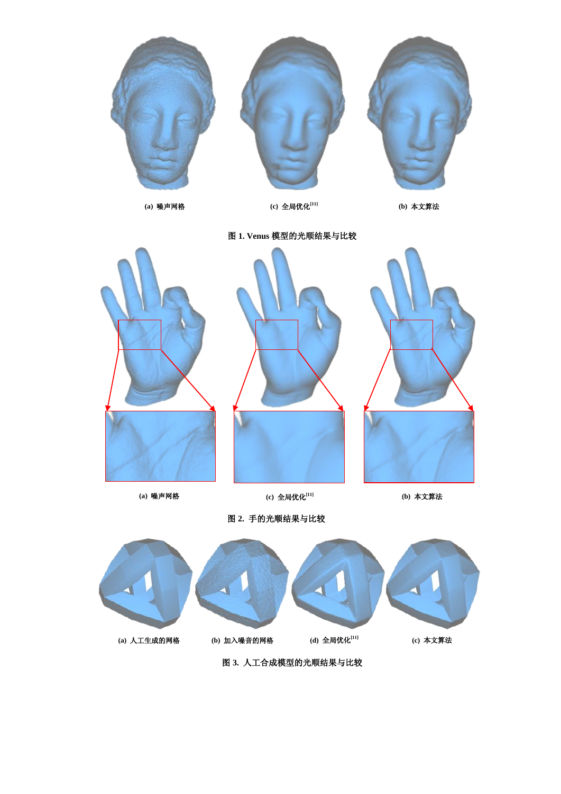

**(a)** 人工生成的网格 **(b)** 加入噪音的网格 **(d)** 全局优化**[11]**

**(a)** 人工生成网

**(c)** 本文算法

格 图 **3.** 人工合成模型的光顺结果与比较